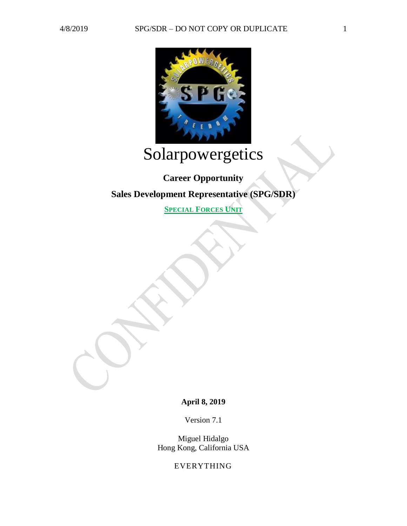

# Solarpowergetics

# **Career Opportunity Sales Development Representative (SPG/SDR)**

**SPECIAL FORCES UNIT**

**April 8, 2019**

Version 7.1

Miguel Hidalgo Hong Kong, California USA

EVERYTHING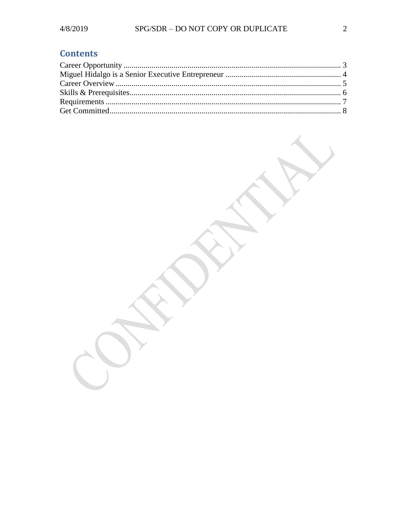### **Contents**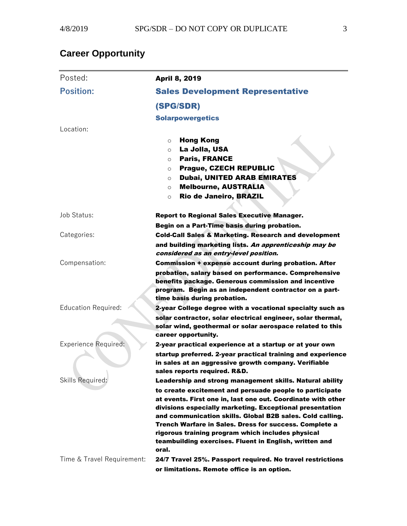## <span id="page-2-0"></span>**Career Opportunity**

| Posted:                     | <b>April 8, 2019</b>                                                                                                                                                                                                                                                                                                                                                                                                                                                                           |
|-----------------------------|------------------------------------------------------------------------------------------------------------------------------------------------------------------------------------------------------------------------------------------------------------------------------------------------------------------------------------------------------------------------------------------------------------------------------------------------------------------------------------------------|
| <b>Position:</b>            | <b>Sales Development Representative</b>                                                                                                                                                                                                                                                                                                                                                                                                                                                        |
|                             | (SPG/SDR)                                                                                                                                                                                                                                                                                                                                                                                                                                                                                      |
|                             | <b>Solarpowergetics</b>                                                                                                                                                                                                                                                                                                                                                                                                                                                                        |
| Location:                   |                                                                                                                                                                                                                                                                                                                                                                                                                                                                                                |
|                             | <b>Hong Kong</b><br>$\Omega$<br>La Jolla, USA<br>$\circ$<br><b>Paris, FRANCE</b><br>$\circ$<br><b>Prague, CZECH REPUBLIC</b><br>$\circ$<br>Dubai, UNITED ARAB EMIRATES<br>O<br><b>Melbourne, AUSTRALIA</b><br>$\circ$<br>Rio de Janeiro, BRAZIL<br>$\circ$                                                                                                                                                                                                                                     |
| Job Status:                 | <b>Report to Regional Sales Executive Manager.</b>                                                                                                                                                                                                                                                                                                                                                                                                                                             |
| Categories:                 | Begin on a Part-Time basis during probation.<br><b>Cold-Call Sales &amp; Marketing. Research and development</b><br>and building marketing lists. An apprenticeship may be<br>considered as an entry-level position.                                                                                                                                                                                                                                                                           |
| Compensation:               | <b>Commission + expense account during probation. After</b><br>probation, salary based on performance. Comprehensive<br>benefits package. Generous commission and incentive<br>program. Begin as an independent contractor on a part-<br>time basis during probation.                                                                                                                                                                                                                          |
| <b>Education Required:</b>  | 2-year College degree with a vocational specialty such as<br>solar contractor, solar electrical engineer, solar thermal,<br>solar wind, geothermal or solar aerospace related to this<br>career opportunity.                                                                                                                                                                                                                                                                                   |
| <b>Experience Required:</b> | 2-year practical experience at a startup or at your own<br>startup preferred. 2-year practical training and experience<br>in sales at an aggressive growth company. Verifiable<br>sales reports required. R&D.                                                                                                                                                                                                                                                                                 |
| Skills Required:            | Leadership and strong management skills. Natural ability<br>to create excitement and persuade people to participate<br>at events. First one in, last one out. Coordinate with other<br>divisions especially marketing. Exceptional presentation<br>and communication skills. Global B2B sales. Cold calling.<br>Trench Warfare in Sales. Dress for success. Complete a<br>rigorous training program which includes physical<br>teambuilding exercises. Fluent in English, written and<br>oral. |
| Time & Travel Requirement:  | 24/7 Travel 25%. Passport required. No travel restrictions<br>or limitations. Remote office is an option.                                                                                                                                                                                                                                                                                                                                                                                      |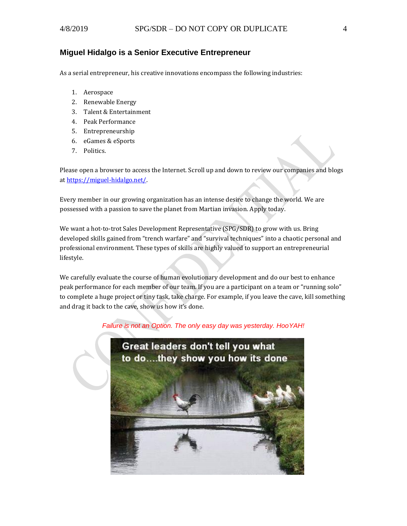#### <span id="page-3-0"></span>**Miguel Hidalgo is a Senior Executive Entrepreneur**

As a serial entrepreneur, his creative innovations encompass the following industries:

- 1. Aerospace
- 2. Renewable Energy
- 3. Talent & Entertainment
- 4. Peak Performance
- 5. Entrepreneurship
- 6. eGames & eSports
- 7. Politics.

Please open a browser to access the Internet. Scroll up and down to review our companies and blogs a[t https://miguel-hidalgo.net/.](https://miguel-hidalgo.net/)

Every member in our growing organization has an intense desire to change the world. We are possessed with a passion to save the planet from Martian invasion. Apply today.

We want a hot-to-trot Sales Development Representative (SPG/SDR) to grow with us. Bring developed skills gained from "trench warfare" and "survival techniques" into a chaotic personal and professional environment. These types of skills are highly valued to support an entrepreneurial lifestyle.

We carefully evaluate the course of human evolutionary development and do our best to enhance peak performance for each member of our team. If you are a participant on a team or "running solo" to complete a huge project or tiny task, take charge. For example, if you leave the cave, kill something and drag it back to the cave, show us how it's done.

#### *Failure is not an Option. The only easy day was yesterday. HooYAH!*

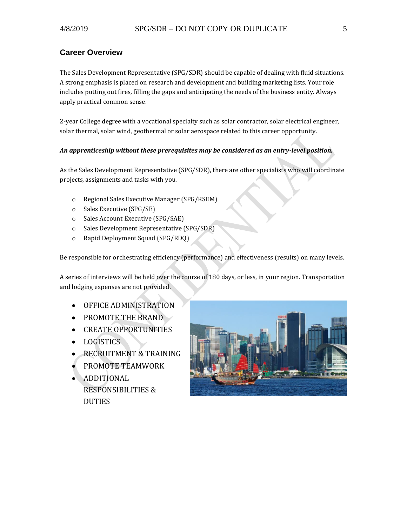#### <span id="page-4-0"></span>**Career Overview**

The Sales Development Representative (SPG/SDR) should be capable of dealing with fluid situations. A strong emphasis is placed on research and development and building marketing lists. Your role includes putting out fires, filling the gaps and anticipating the needs of the business entity. Always apply practical common sense.

2-year College degree with a vocational specialty such as solar contractor, solar electrical engineer, solar thermal, solar wind, geothermal or solar aerospace related to this career opportunity.

#### *An apprenticeship without these prerequisites may be considered as an entry-level position.*

As the Sales Development Representative (SPG/SDR), there are other specialists who will coordinate projects, assignments and tasks with you.

- o Regional Sales Executive Manager (SPG/RSEM)
- o Sales Executive (SPG/SE)
- o Sales Account Executive (SPG/SAE)
- o Sales Development Representative (SPG/SDR)
- o Rapid Deployment Squad (SPG/RDQ)

Be responsible for orchestrating efficiency (performance) and effectiveness (results) on many levels.

A series of interviews will be held over the course of 180 days, or less, in your region. Transportation and lodging expenses are not provided.

- OFFICE ADMINISTRATION
- PROMOTE THE BRAND
- CREATE OPPORTUNITIES
- LOGISTICS
- RECRUITMENT & TRAINING
- PROMOTE TEAMWORK
- ADDITIONAL RESPONSIBILITIES & DUTIES

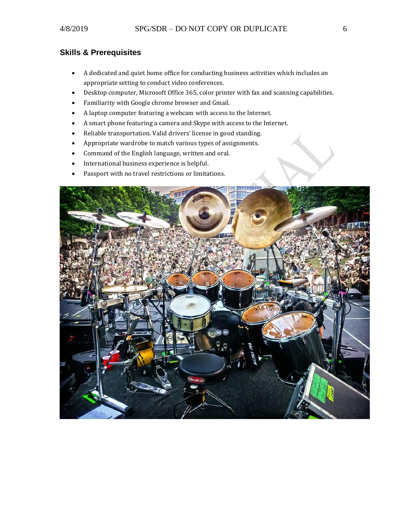#### <span id="page-5-0"></span>**Skills & Prerequisites**

- A dedicated and quiet home office for conducting business activities which includes an appropriate setting to conduct video conferences.
- Desktop computer, Microsoft Office 365, color printer with fax and scanning capabilities.
- Familiarity with Google chrome browser and Gmail.
- A laptop computer featuring a webcam with access to the Internet.
- A smart phone featuring a camera and Skype with access to the Internet.
- Reliable transportation. Valid drivers' license in good standing.
- Appropriate wardrobe to match various types of assignments.
- Command of the English language, written and oral.
- International business experience is helpful.
- Passport with no travel restrictions or limitations.

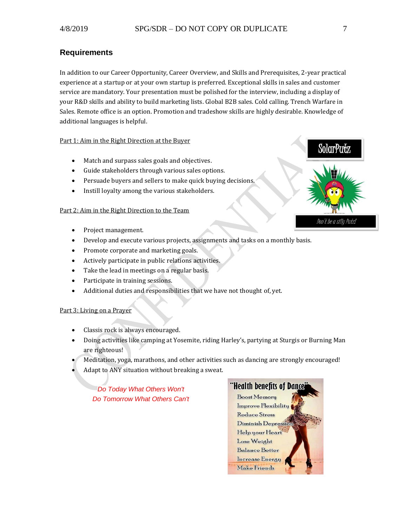#### <span id="page-6-0"></span>**Requirements**

In addition to our Career Opportunity, Career Overview, and Skills and Prerequisites, 2-year practical experience at a startup or at your own startup is preferred. Exceptional skills in sales and customer service are mandatory. Your presentation must be polished for the interview, including a display of your R&D skills and ability to build marketing lists. Global B2B sales. Cold calling. Trench Warfare in Sales. Remote office is an option. Promotion and tradeshow skills are highly desirable. Knowledge of additional languages is helpful.

#### Part 1: Aim in the Right Direction at the Buyer

- Match and surpass sales goals and objectives.
- Guide stakeholders through various sales options.
- Persuade buyers and sellers to make quick buying decisions.
- Instill loyalty among the various stakeholders.

#### Part 2: Aim in the Right Direction to the Team

- Project management.
- Develop and execute various projects, assignments and tasks on a monthly basis.
- Promote corporate and marketing goals.
- Actively participate in public relations activities.
- Take the lead in meetings on a regular basis.
- Participate in training sessions.
- Additional duties and responsibilities that we have not thought of, yet.

#### Part 3: Living on a Prayer

- Classis rock is always encouraged.
- Doing activities like camping at Yosemite, riding Harley's, partying at Sturgis or Burning Man are righteous!
- Meditation, yoga, marathons, and other activities such as dancing are strongly encouraged!
- Adapt to ANY situation without breaking a sweat.

*Do Today What Others Won't Do Tomorrow What Others Can't* 



SolarPutz

Don't be a silly Putz!